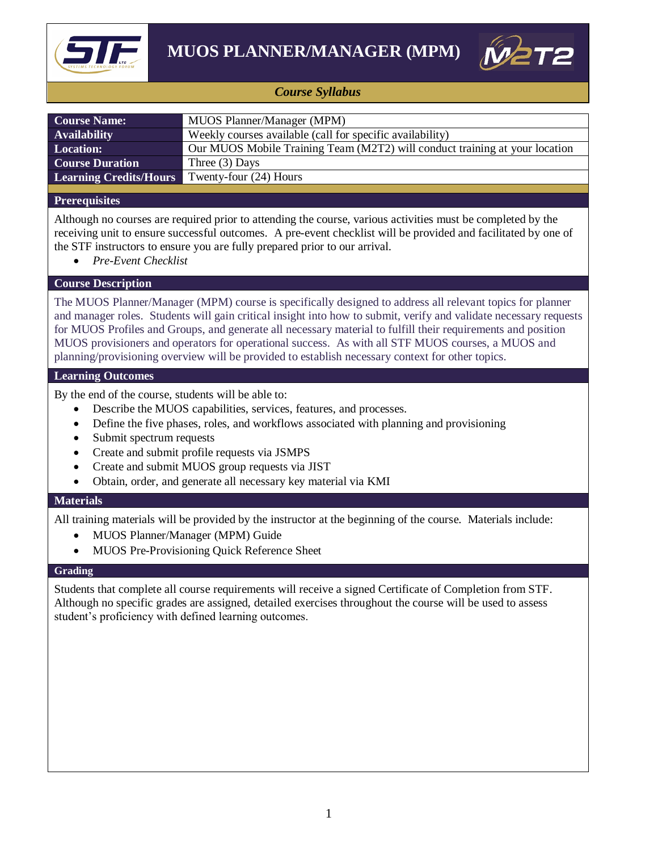



## *Course Syllabus*

| <b>Course Name:</b>           | MUOS Planner/Manager (MPM)                                                  |
|-------------------------------|-----------------------------------------------------------------------------|
| <b>Availability</b>           | Weekly courses available (call for specific availability)                   |
| <b>Location:</b>              | Our MUOS Mobile Training Team (M2T2) will conduct training at your location |
| <b>Course Duration</b>        | Three $(3)$ Days                                                            |
| <b>Learning Credits/Hours</b> | Twenty-four (24) Hours                                                      |
|                               |                                                                             |

## **Prerequisites**

Although no courses are required prior to attending the course, various activities must be completed by the receiving unit to ensure successful outcomes. A pre-event checklist will be provided and facilitated by one of the STF instructors to ensure you are fully prepared prior to our arrival.

*Pre-Event Checklist*

### **Course Description**

The MUOS Planner/Manager (MPM) course is specifically designed to address all relevant topics for planner and manager roles. Students will gain critical insight into how to submit, verify and validate necessary requests for MUOS Profiles and Groups, and generate all necessary material to fulfill their requirements and position MUOS provisioners and operators for operational success. As with all STF MUOS courses, a MUOS and planning/provisioning overview will be provided to establish necessary context for other topics.

### **Learning Outcomes**

By the end of the course, students will be able to:

- Describe the MUOS capabilities, services, features, and processes.
- Define the five phases, roles, and workflows associated with planning and provisioning
- Submit spectrum requests
- Create and submit profile requests via JSMPS
- Create and submit MUOS group requests via JIST
- Obtain, order, and generate all necessary key material via KMI

#### **Materials**

All training materials will be provided by the instructor at the beginning of the course. Materials include:

- MUOS Planner/Manager (MPM) Guide
- MUOS Pre-Provisioning Quick Reference Sheet

#### **Grading**

Students that complete all course requirements will receive a signed Certificate of Completion from STF. Although no specific grades are assigned, detailed exercises throughout the course will be used to assess student's proficiency with defined learning outcomes.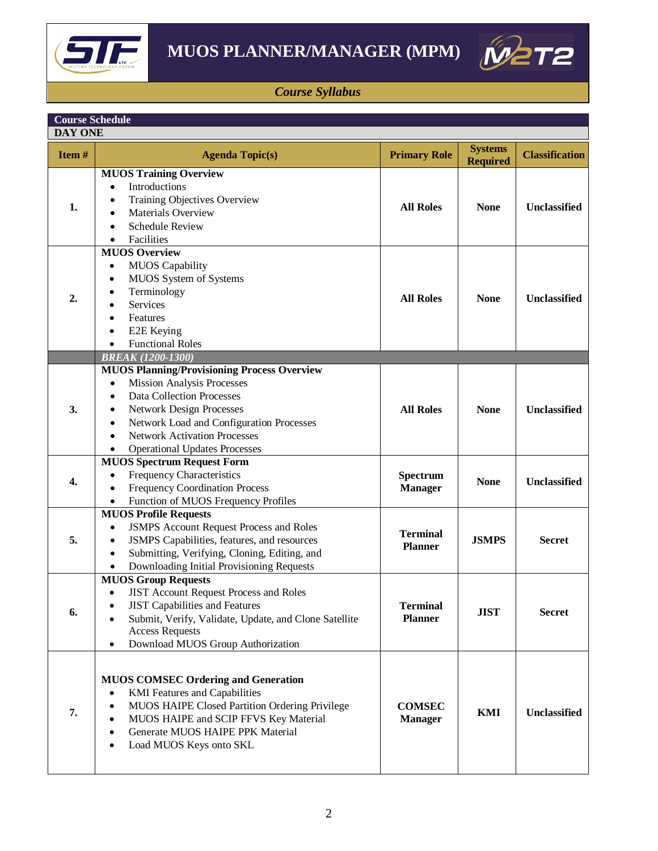



# *Course Syllabus*

| <b>Course Schedule</b><br><b>DAY ONE</b> |                                                                                                                                                                                                                                                                                                                                                                         |                                   |                                   |                       |  |
|------------------------------------------|-------------------------------------------------------------------------------------------------------------------------------------------------------------------------------------------------------------------------------------------------------------------------------------------------------------------------------------------------------------------------|-----------------------------------|-----------------------------------|-----------------------|--|
| Item#                                    | <b>Agenda Topic(s)</b>                                                                                                                                                                                                                                                                                                                                                  | <b>Primary Role</b>               | <b>Systems</b><br><b>Required</b> | <b>Classification</b> |  |
| 1.                                       | <b>MUOS Training Overview</b><br>Introductions<br>Training Objectives Overview<br>Materials Overview<br><b>Schedule Review</b><br>Facilities                                                                                                                                                                                                                            | <b>All Roles</b>                  | <b>None</b>                       | Unclassified          |  |
| 2.                                       | <b>MUOS Overview</b><br><b>MUOS</b> Capability<br>$\bullet$<br>MUOS System of Systems<br>٠<br>Terminology<br>$\bullet$<br><b>Services</b><br>$\bullet$<br>Features<br>$\bullet$<br>E2E Keying<br>$\bullet$<br><b>Functional Roles</b><br>$\bullet$                                                                                                                      | <b>All Roles</b>                  | <b>None</b>                       | <b>Unclassified</b>   |  |
|                                          | <b>BREAK (1200-1300)</b>                                                                                                                                                                                                                                                                                                                                                |                                   |                                   |                       |  |
| 3.                                       | <b>MUOS Planning/Provisioning Process Overview</b><br><b>Mission Analysis Processes</b><br>$\bullet$<br><b>Data Collection Processes</b><br>$\bullet$<br><b>Network Design Processes</b><br>$\bullet$<br>Network Load and Configuration Processes<br>$\bullet$<br><b>Network Activation Processes</b><br>$\bullet$<br><b>Operational Updates Processes</b><br>$\bullet$ | <b>All Roles</b>                  | <b>None</b>                       | <b>Unclassified</b>   |  |
| 4.                                       | <b>MUOS Spectrum Request Form</b><br>Frequency Characteristics<br>$\bullet$<br><b>Frequency Coordination Process</b><br>$\bullet$<br>Function of MUOS Frequency Profiles<br>$\bullet$                                                                                                                                                                                   | Spectrum<br><b>Manager</b>        | <b>None</b>                       | Unclassified          |  |
| 5.                                       | <b>MUOS Profile Requests</b><br><b>JSMPS Account Request Process and Roles</b><br>$\bullet$<br>JSMPS Capabilities, features, and resources<br>٠<br>Submitting, Verifying, Cloning, Editing, and<br>$\bullet$<br>Downloading Initial Provisioning Requests                                                                                                               | <b>Terminal</b><br><b>Planner</b> | <b>JSMPS</b>                      | <b>Secret</b>         |  |
| 6.                                       | <b>MUOS Group Requests</b><br><b>JIST Account Request Process and Roles</b><br>$\bullet$<br><b>JIST Capabilities and Features</b><br>$\bullet$<br>Submit, Verify, Validate, Update, and Clone Satellite<br><b>Access Requests</b><br>Download MUOS Group Authorization<br>$\bullet$                                                                                     | <b>Terminal</b><br><b>Planner</b> | <b>JIST</b>                       | <b>Secret</b>         |  |
| 7.                                       | <b>MUOS COMSEC Ordering and Generation</b><br><b>KMI</b> Features and Capabilities<br>$\bullet$<br>MUOS HAIPE Closed Partition Ordering Privilege<br>٠<br>MUOS HAIPE and SCIP FFVS Key Material<br>$\bullet$<br>Generate MUOS HAIPE PPK Material<br>$\bullet$<br>Load MUOS Keys onto SKL<br>٠                                                                           | <b>COMSEC</b><br><b>Manager</b>   | <b>KMI</b>                        | <b>Unclassified</b>   |  |